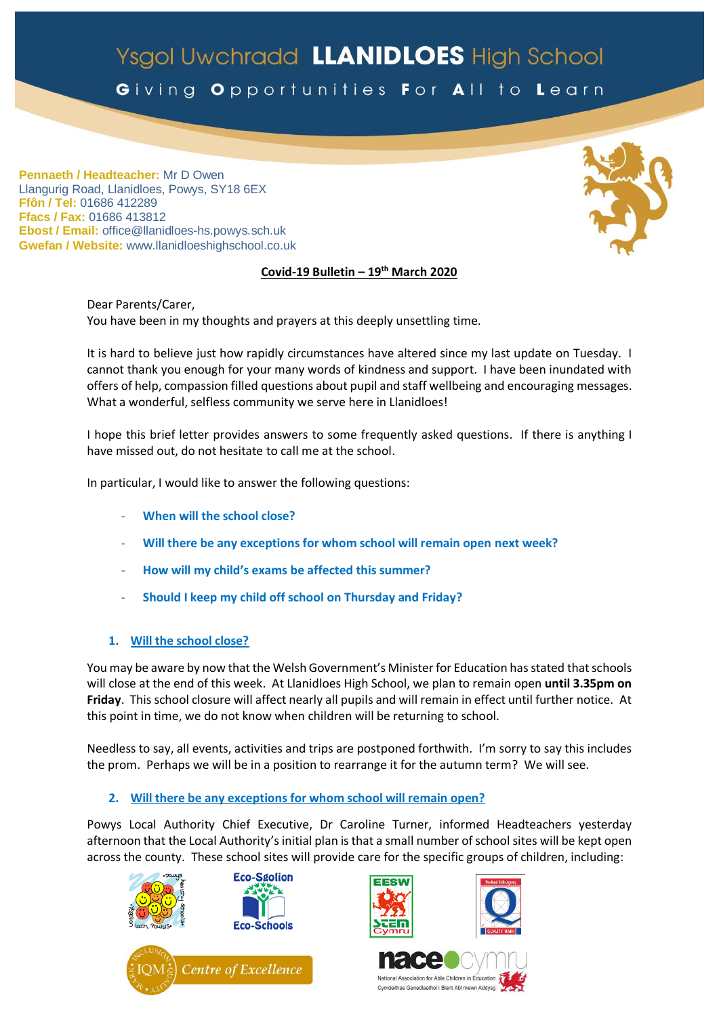# Ysgol Uwchradd LLANIDLOES High School

Giving Opportunities For All to Learn

**Pennaeth / Headteacher:** Mr D Owen Llangurig Road, Llanidloes, Powys, SY18 6EX **Ffôn / Tel:** 01686 412289 **Ffacs / Fax:** 01686 413812 **Ebost / Email:** office@llanidloes-hs.powys.sch.uk **Gwefan / Website:** www.llanidloeshighschool.co.uk

# **Covid-19 Bulletin – 19 th March 2020**

Dear Parents/Carer, You have been in my thoughts and prayers at this deeply unsettling time.

It is hard to believe just how rapidly circumstances have altered since my last update on Tuesday. I cannot thank you enough for your many words of kindness and support. I have been inundated with offers of help, compassion filled questions about pupil and staff wellbeing and encouraging messages. What a wonderful, selfless community we serve here in Llanidloes!

I hope this brief letter provides answers to some frequently asked questions. If there is anything I have missed out, do not hesitate to call me at the school.

In particular, I would like to answer the following questions:

- **When will the school close?**
- **Will there be any exceptions for whom school will remain open next week?**
- **How will my child's exams be affected this summer?**
- **Should I keep my child off school on Thursday and Friday?**

# **1. Will the school close?**

You may be aware by now that the Welsh Government's Minister for Education has stated that schools will close at the end of this week. At Llanidloes High School, we plan to remain open **until 3.35pm on Friday**. This school closure will affect nearly all pupils and will remain in effect until further notice. At this point in time, we do not know when children will be returning to school.

Needless to say, all events, activities and trips are postponed forthwith. I'm sorry to say this includes the prom. Perhaps we will be in a position to rearrange it for the autumn term? We will see.

## **2. Will there be any exceptions for whom school will remain open?**

Powys Local Authority Chief Executive, Dr Caroline Turner, informed Headteachers yesterday afternoon that the Local Authority's initial plan is that a small number of school sites will be kept open across the county. These school sites will provide care for the specific groups of children, including:









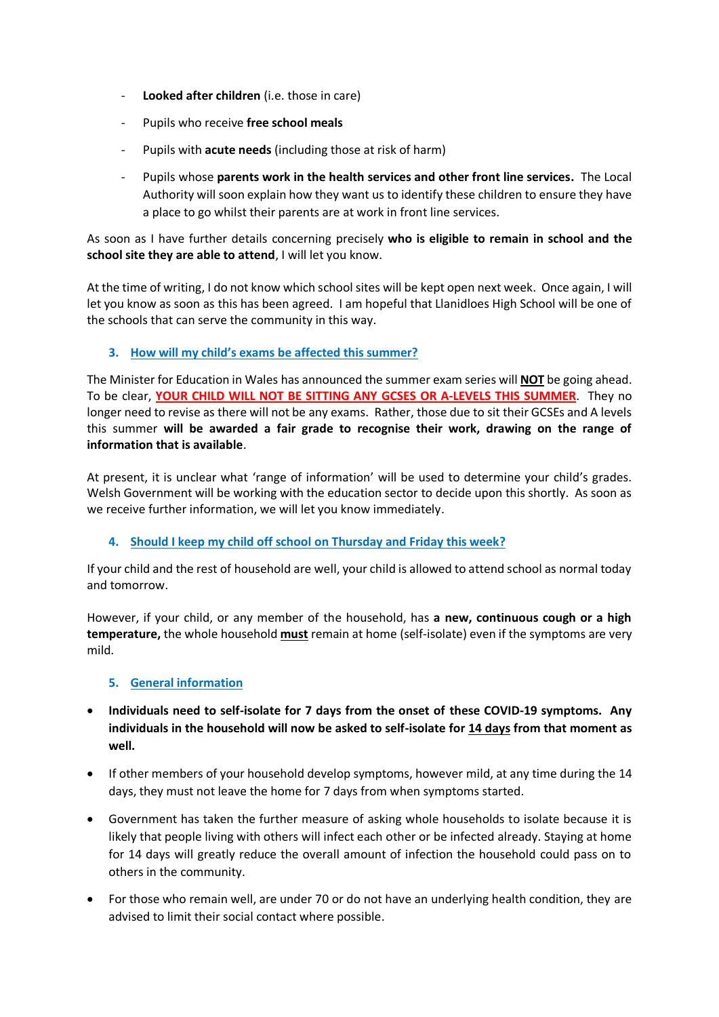- **Looked after children** (i.e. those in care)
- Pupils who receive **free school meals**
- Pupils with **acute needs** (including those at risk of harm)
- Pupils whose **parents work in the health services and other front line services.** The Local Authority will soon explain how they want us to identify these children to ensure they have a place to go whilst their parents are at work in front line services.

As soon as I have further details concerning precisely **who is eligible to remain in school and the school site they are able to attend**, I will let you know.

At the time of writing, I do not know which school sites will be kept open next week. Once again, I will let you know as soon as this has been agreed. I am hopeful that Llanidloes High School will be one of the schools that can serve the community in this way.

## **3. How will my child's exams be affected this summer?**

The Minister for Education in Wales has announced the summer exam series will **NOT** be going ahead. To be clear, **YOUR CHILD WILL NOT BE SITTING ANY GCSES OR A-LEVELS THIS SUMMER**. They no longer need to revise as there will not be any exams. Rather, those due to sit their GCSEs and A levels this summer **will be awarded a fair grade to recognise their work, drawing on the range of information that is available**.

At present, it is unclear what 'range of information' will be used to determine your child's grades. Welsh Government will be working with the education sector to decide upon this shortly. As soon as we receive further information, we will let you know immediately.

## **4. Should I keep my child off school on Thursday and Friday this week?**

If your child and the rest of household are well, your child is allowed to attend school as normal today and tomorrow.

However, if your child, or any member of the household, has **a new, continuous cough or a high temperature,** the whole household **must** remain at home (self-isolate) even if the symptoms are very mild.

## **5. General information**

- **Individuals need to self-isolate for 7 days from the onset of these COVID-19 symptoms. Any individuals in the household will now be asked to self-isolate for 14 days from that moment as well.**
- If other members of your household develop symptoms, however mild, at any time during the 14 days, they must not leave the home for 7 days from when symptoms started.
- Government has taken the further measure of asking whole households to isolate because it is likely that people living with others will infect each other or be infected already. Staying at home for 14 days will greatly reduce the overall amount of infection the household could pass on to others in the community.
- For those who remain well, are under 70 or do not have an underlying health condition, they are advised to limit their social contact where possible.